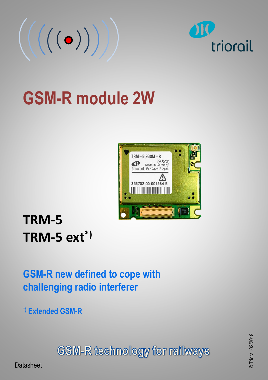$\left(\left(\left(\left(\mathbf{o}\right)\right)\right)\right)$ 



# **GSM-R module 2W**



# **TRM-5 TRM-5 ext\*)**

## **GSM-R new defined to cope with challenging radio interferer**

**\*) Extended GSM-R**

**GSM-R technology for railways** 

**Datasheet**